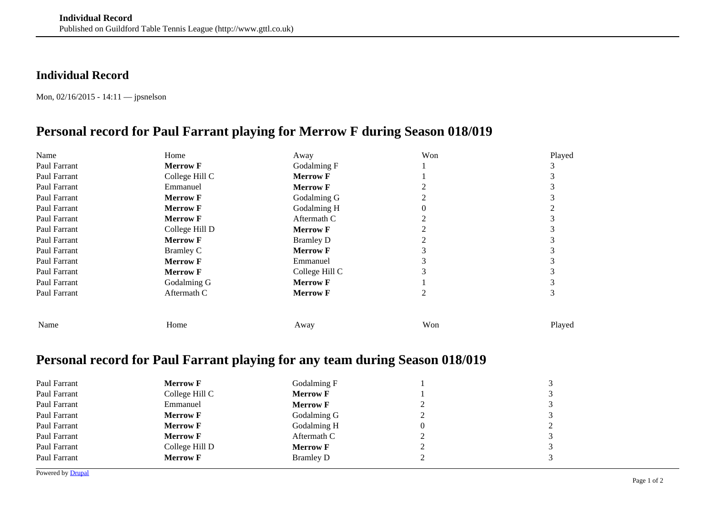## **Individual Record**

Mon, 02/16/2015 - 14:11 — jpsnelson

## **Personal record for Paul Farrant playing for Merrow F during Season 018/019**

| Name         | Home            | Away             | Won | Played |
|--------------|-----------------|------------------|-----|--------|
| Paul Farrant | <b>Merrow F</b> | Godalming F      |     |        |
| Paul Farrant | College Hill C  | <b>Merrow F</b>  |     |        |
| Paul Farrant | Emmanuel        | <b>Merrow F</b>  |     |        |
| Paul Farrant | <b>Merrow F</b> | Godalming G      |     |        |
| Paul Farrant | <b>Merrow F</b> | Godalming H      |     |        |
| Paul Farrant | <b>Merrow F</b> | Aftermath C      |     |        |
| Paul Farrant | College Hill D  | <b>Merrow F</b>  |     |        |
| Paul Farrant | <b>Merrow F</b> | <b>Bramley D</b> |     |        |
| Paul Farrant | Bramley C       | <b>Merrow F</b>  |     |        |
| Paul Farrant | <b>Merrow F</b> | Emmanuel         |     |        |
| Paul Farrant | <b>Merrow F</b> | College Hill C   |     |        |
| Paul Farrant | Godalming G     | <b>Merrow F</b>  |     |        |
| Paul Farrant | Aftermath C     | <b>Merrow F</b>  |     |        |
|              |                 |                  |     |        |
| Name         | Home            | Away             | Won | Played |

## **Personal record for Paul Farrant playing for any team during Season 018/019**

| Paul Farrant | <b>Merrow F</b> | Godalming F      |   | 3              |
|--------------|-----------------|------------------|---|----------------|
| Paul Farrant | College Hill C  | <b>Merrow F</b>  |   | 3              |
| Paul Farrant | Emmanuel        | <b>Merrow F</b>  |   | 3              |
| Paul Farrant | <b>Merrow F</b> | Godalming G      |   | 3              |
| Paul Farrant | <b>Merrow F</b> | Godalming H      | 0 | $\overline{c}$ |
| Paul Farrant | <b>Merrow F</b> | Aftermath C      |   | 3              |
| Paul Farrant | College Hill D  | <b>Merrow F</b>  |   | 3              |
| Paul Farrant | <b>Merrow F</b> | <b>Bramley D</b> |   | 3              |
|              |                 |                  |   |                |

Powered by **[Drupal](https://www.drupal.org)**